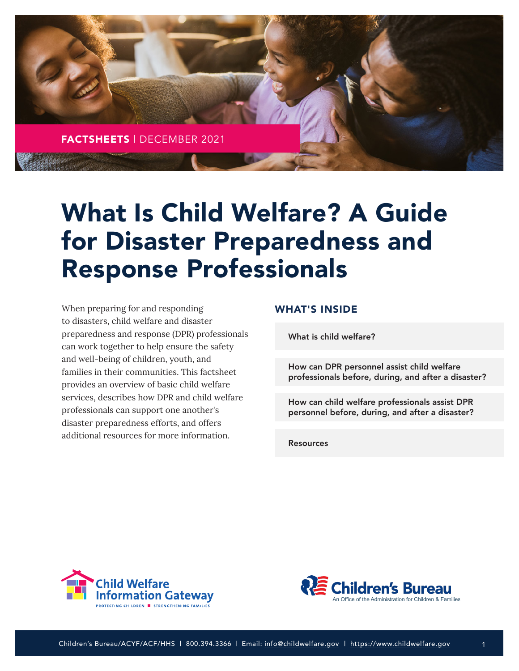

# What Is Child Welfare? A Guide for Disaster Preparedness and Response Professionals

When preparing for and responding to disasters, child welfare and disaster preparedness and response (DPR) professionals can work together to help ensure the safety and well-being of children, youth, and families in their communities. This factsheet provides an overview of basic child welfare services, describes how DPR and child welfare professionals can support one another's disaster preparedness efforts, and offers additional resources for more information.

#### WHAT'S INSIDE

[What is child welfare?](#page-1-0)

How can DPR personnel assist child welfare [professionals before, during, and after a disaster?](#page-2-0)

[How can child welfare professionals assist DPR](#page-4-0)  personnel before, during, and after a disaster?

**[Resources](#page-5-0)** 



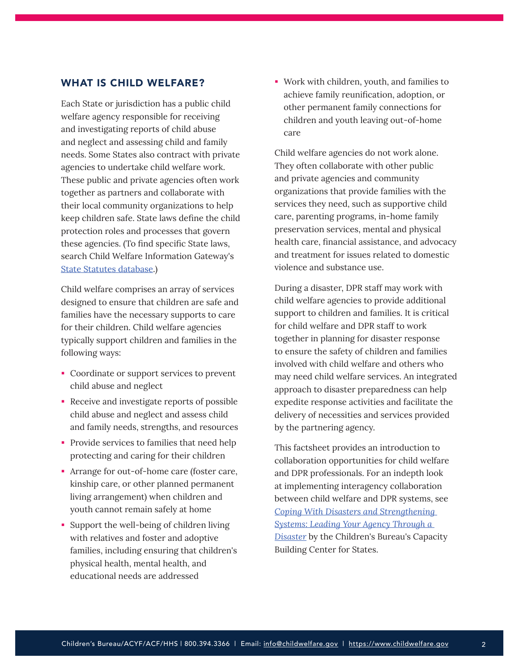#### <span id="page-1-0"></span>WHAT IS CHILD WELFARE?

Each State or jurisdiction has a public child welfare agency responsible for receiving and investigating reports of child abuse and neglect and assessing child and family needs. Some States also contract with private agencies to undertake child welfare work. These public and private agencies often work together as partners and collaborate with their local community organizations to help keep children safe. State laws define the child protection roles and processes that govern these agencies. (To find specific State laws, search Child Welfare Information Gateway's [State Statutes database.](https://www.childwelfare.gov/topics/systemwide/laws-policies/state/))

Child welfare comprises an array of services designed to ensure that children are safe and families have the necessary supports to care for their children. Child welfare agencies typically support children and families in the following ways:

- Coordinate or support services to prevent child abuse and neglect
- Receive and investigate reports of possible child abuse and neglect and assess child and family needs, strengths, and resources
- **Provide services to families that need help** protecting and caring for their children
- Arrange for out-of-home care (foster care, kinship care, or other planned permanent living arrangement) when children and youth cannot remain safely at home
- Support the well-being of children living with relatives and foster and adoptive families, including ensuring that children's physical health, mental health, and educational needs are addressed

 Work with children, youth, and families to achieve family reunification, adoption, or other permanent family connections for children and youth leaving out-of-home care

Child welfare agencies do not work alone. They often collaborate with other public and private agencies and community organizations that provide families with the services they need, such as supportive child care, parenting programs, in-home family preservation services, mental and physical health care, financial assistance, and advocacy and treatment for issues related to domestic violence and substance use.

During a disaster, DPR staff may work with child welfare agencies to provide additional support to children and families. It is critical for child welfare and DPR staff to work together in planning for disaster response to ensure the safety of children and families involved with child welfare and others who may need child welfare services. An integrated approach to disaster preparedness can help expedite response activities and facilitate the delivery of necessities and services provided by the partnering agency.

This factsheet provides an introduction to collaboration opportunities for child welfare and DPR professionals. For an indepth look at implementing interagency collaboration between child welfare and DPR systems, see *[Coping With Disasters and Strengthening](https://capacity.childwelfare.gov/states/resources/coping-systems)  [Systems: Leading Your Agency Through a](https://capacity.childwelfare.gov/states/resources/coping-systems)  [Disaster](https://capacity.childwelfare.gov/states/resources/coping-systems)* by the Children's Bureau's Capacity Building Center for States.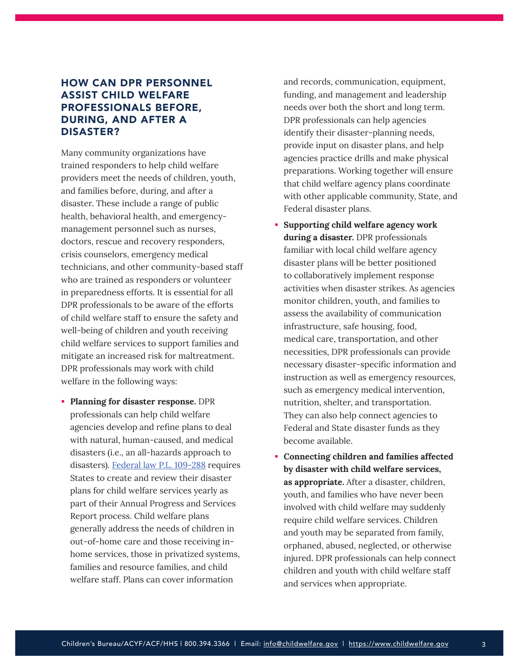## <span id="page-2-0"></span>HOW CAN DPR PERSONNEL ASSIST CHILD WELFARE PROFESSIONALS BEFORE, DURING, AND AFTER A DISASTER?

Many community organizations have trained responders to help child welfare providers meet the needs of children, youth, and families before, during, and after a disaster. These include a range of public health, behavioral health, and emergencymanagement personnel such as nurses, doctors, rescue and recovery responders, crisis counselors, emergency medical technicians, and other community-based staff who are trained as responders or volunteer in preparedness efforts. It is essential for all DPR professionals to be aware of the efforts of child welfare staff to ensure the safety and well-being of children and youth receiving child welfare services to support families and mitigate an increased risk for maltreatment. DPR professionals may work with child welfare in the following ways:

 **Planning for disaster response.** DPR professionals can help child welfare agencies develop and refine plans to deal with natural, human-caused, and medical disasters (i.e., an all-hazards approach to disasters). [Federal law P.L. 109-288](https://www.congress.gov/109/plaws/publ288/PLAW-109publ288.pdf) requires States to create and review their disaster plans for child welfare services yearly as part of their Annual Progress and Services Report process. Child welfare plans generally address the needs of children in out-of-home care and those receiving inhome services, those in privatized systems, families and resource families, and child welfare staff. Plans can cover information

and records, communication, equipment, funding, and management and leadership needs over both the short and long term. DPR professionals can help agencies identify their disaster-planning needs, provide input on disaster plans, and help agencies practice drills and make physical preparations. Working together will ensure that child welfare agency plans coordinate with other applicable community, State, and Federal disaster plans.

- **Supporting child welfare agency work during a disaster.** DPR professionals familiar with local child welfare agency disaster plans will be better positioned to collaboratively implement response activities when disaster strikes. As agencies monitor children, youth, and families to assess the availability of communication infrastructure, safe housing, food, medical care, transportation, and other necessities, DPR professionals can provide necessary disaster-specific information and instruction as well as emergency resources, such as emergency medical intervention, nutrition, shelter, and transportation. They can also help connect agencies to Federal and State disaster funds as they become available.
- **Connecting children and families affected by disaster with child welfare services, as appropriate.** After a disaster, children, youth, and families who have never been involved with child welfare may suddenly require child welfare services. Children and youth may be separated from family, orphaned, abused, neglected, or otherwise injured. DPR professionals can help connect children and youth with child welfare staff and services when appropriate.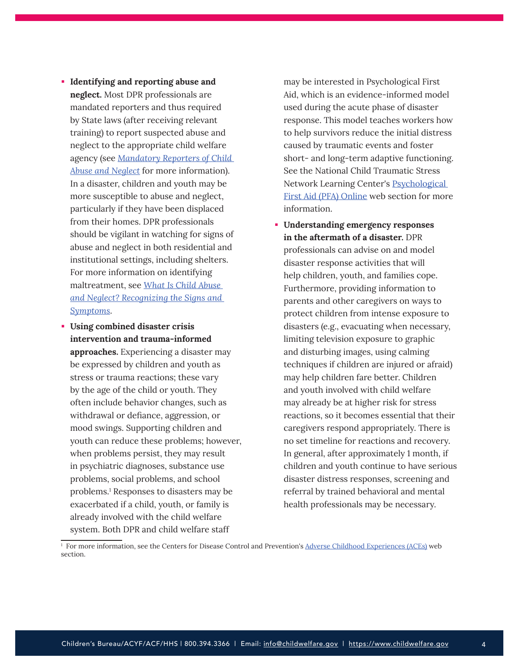- **Identifying and reporting abuse and neglect.** Most DPR professionals are mandated reporters and thus required by State laws (after receiving relevant training) to report suspected abuse and neglect to the appropriate child welfare agency (see *[Mandatory Reporters of Child](https://www.childwelfare.gov/topics/systemwide/laws-policies/statutes/manda/)  [Abuse and Neglect](https://www.childwelfare.gov/topics/systemwide/laws-policies/statutes/manda/)* for more information). In a disaster, children and youth may be more susceptible to abuse and neglect, particularly if they have been displaced from their homes. DPR professionals should be vigilant in watching for signs of abuse and neglect in both residential and institutional settings, including shelters. For more information on identifying maltreatment, see *[What Is Child Abuse](https://www.childwelfare.gov/pubs/factsheets/whatiscan/)  [and Neglect? Recognizing the Signs and](https://www.childwelfare.gov/pubs/factsheets/whatiscan/)  [Symptoms](https://www.childwelfare.gov/pubs/factsheets/whatiscan/)*.
- **Using combined disaster crisis intervention and trauma-informed approaches.** Experiencing a disaster may be expressed by children and youth as stress or trauma reactions; these vary by the age of the child or youth. They often include behavior changes, such as withdrawal or defiance, aggression, or mood swings. Supporting children and youth can reduce these problems; however, when problems persist, they may result in psychiatric diagnoses, substance use problems, social problems, and school problems.1 Responses to disasters may be exacerbated if a child, youth, or family is already involved with the child welfare system. Both DPR and child welfare staff

may be interested in Psychological First Aid, which is an evidence-informed model used during the acute phase of disaster response. This model teaches workers how to help survivors reduce the initial distress caused by traumatic events and foster short- and long-term adaptive functioning. See the National Child Traumatic Stress Network Learning Center's [Psychological](https://www.nctsn.org/resources/psychological-first-aid-pfa-online)  [First Aid \(PFA\) Online](https://www.nctsn.org/resources/psychological-first-aid-pfa-online) web section for more information.

 **Understanding emergency responses in the aftermath of a disaster.** DPR professionals can advise on and model disaster response activities that will help children, youth, and families cope. Furthermore, providing information to parents and other caregivers on ways to protect children from intense exposure to disasters (e.g., evacuating when necessary, limiting television exposure to graphic and disturbing images, using calming techniques if children are injured or afraid) may help children fare better. Children and youth involved with child welfare may already be at higher risk for stress reactions, so it becomes essential that their caregivers respond appropriately. There is no set timeline for reactions and recovery. In general, after approximately 1 month, if children and youth continue to have serious disaster distress responses, screening and referral by trained behavioral and mental health professionals may be necessary.

<sup>&</sup>lt;sup>1</sup> For more information, see the Centers for Disease Control and Prevention's [Adverse Childhood Experiences \(ACEs\)](https://www.cdc.gov/violenceprevention/aces/index.html?CDC_AA_refVal=https%3A%2F%2Fwww.cdc.gov%2Fviolenceprevention%2Facestudy%2Findex.html) web section.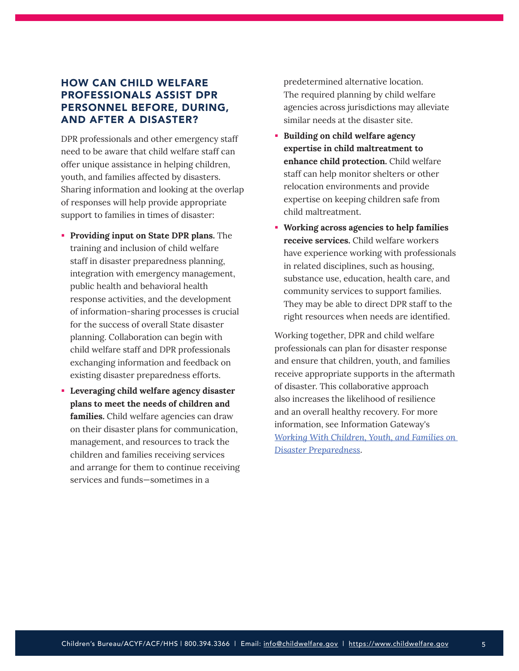## <span id="page-4-0"></span>HOW CAN CHILD WELFARE PROFESSIONALS ASSIST DPR PERSONNEL BEFORE, DURING, AND AFTER A DISASTER?

DPR professionals and other emergency staff need to be aware that child welfare staff can offer unique assistance in helping children, youth, and families affected by disasters. Sharing information and looking at the overlap of responses will help provide appropriate support to families in times of disaster:

- **Providing input on State DPR plans.** The training and inclusion of child welfare staff in disaster preparedness planning, integration with emergency management, public health and behavioral health response activities, and the development of information-sharing processes is crucial for the success of overall State disaster planning. Collaboration can begin with child welfare staff and DPR professionals exchanging information and feedback on existing disaster preparedness efforts.
- **Leveraging child welfare agency disaster plans to meet the needs of children and**  families. Child welfare agencies can draw on their disaster plans for communication, management, and resources to track the children and families receiving services and arrange for them to continue receiving services and funds—sometimes in a

predetermined alternative location. The required planning by child welfare agencies across jurisdictions may alleviate similar needs at the disaster site.

- **Building on child welfare agency expertise in child maltreatment to enhance child protection.** Child welfare staff can help monitor shelters or other relocation environments and provide expertise on keeping children safe from child maltreatment.
- **Working across agencies to help families receive services.** Child welfare workers have experience working with professionals in related disciplines, such as housing, substance use, education, health care, and community services to support families. They may be able to direct DPR staff to the right resources when needs are identified.

Working together, DPR and child welfare professionals can plan for disaster response and ensure that children, youth, and families receive appropriate supports in the aftermath of disaster. This collaborative approach also increases the likelihood of resilience and an overall healthy recovery. For more information, see Information Gateway's *[Working With Children, Youth, and Families on](https://www.childwelfare.gov/pubs/bulletins/disaster-preparedness/)  [Disaster Preparedness](https://www.childwelfare.gov/pubs/bulletins/disaster-preparedness/)*.